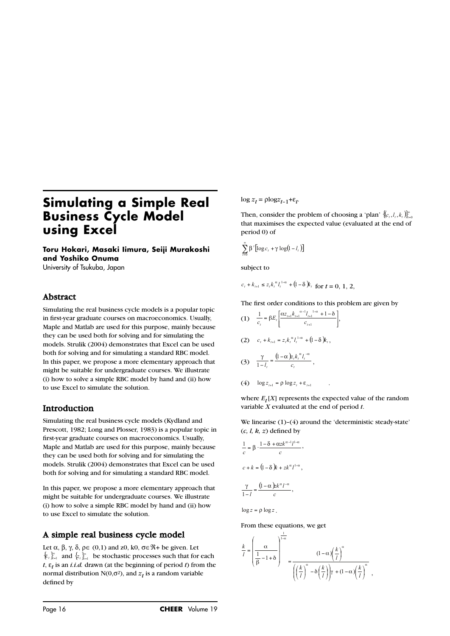# **Simulating a Simple Real Business Cycle Model using Excel**

**Toru Hokari, Masaki Iimura, Seiji Murakoshi and Yoshiko Onuma** University of Tsukuba, Japan

### Abstract

Simulating the real business cycle models is a popular topic in first-year graduate courses on macroeconomics. Usually, Maple and Matlab are used for this purpose, mainly because they can be used both for solving and for simulating the models. Strulik (2004) demonstrates that Excel can be used both for solving and for simulating a standard RBC model. In this paper, we propose a more elementary approach that might be suitable for undergraduate courses. We illustrate (i) how to solve a simple RBC model by hand and (ii) how to use Excel to simulate the solution.

### Introduction

Simulating the real business cycle models (Kydland and Prescott, 1982; Long and Plosser, 1983) is a popular topic in first-year graduate courses on macroeconomics. Usually, Maple and Matlab are used for this purpose, mainly because they can be used both for solving and for simulating the models. Strulik (2004) demonstrates that Excel can be used both for solving and for simulating a standard RBC model.

In this paper, we propose a more elementary approach that might be suitable for undergraduate courses. We illustrate (i) how to solve a simple RBC model by hand and (ii) how to use Excel to simulate the solution.

# A simple real business cycle model

Let  $\alpha$ ,  $\beta$ ,  $\gamma$ ,  $\delta$ ,  $\rho \in (0,1)$  and z0, k0,  $\sigma \in \Re$ + be given. Let Let  $\alpha$ ,  $\beta$ ,  $\gamma$ ,  $\delta$ ,  $\rho \in (0,1)$  and  $z0$ ,  $k0$ ,  $\sigma \in \mathcal{K} +$  be given. Let  $\{\epsilon_i\}_{i=1}^k$  and  $\{\epsilon_i\}_{i=1}^k$  be stochastic processes such that for each  $t, \varepsilon_t$  is an *i.i.d.* drawn (at the beginning of period *t*) from the normal distribution N(0, $\sigma$ <sup>2</sup>), and  $z_t$  is a random variable defined by

 $\log z_t = \rho \log z_{t-1} + \varepsilon_t$ .

Then, consider the problem of choosing a 'plan' that maximises the expected value (evaluated at the end of period 0) of  $\log z_t = \text{plog}z_{t-1} + \epsilon_t.$ <br>Then, consider the pr<br>that maximises the experiod 0) of<br> $\sum_{i=0}^{\infty} \beta' [\log c_i + \gamma \log(1 - l_i)]$  ${ (c_1, l_1, k_1) }_{t=0}^{\infty}$ 

period 0) of  
\n
$$
\sum_{i=0}^{\infty} \beta^{i} [\log c_{i} + \gamma \log(1 - l_{i})]
$$
\nsubject to  
\n
$$
c_{i} + k_{i+1} \leq z_{i} k_{i}^{\alpha} l_{i}^{1-\alpha} + (1 - \delta) k_{i}
$$

subject to

for  $t = 0, 1, 2,$  $_{+1} \le z_t k_t^{\alpha} l_t^{1-\alpha} + 1$ 

The first order conditions to this problem are given by

$$
c_{t} + k_{t+1} \leq z_{t}k_{t} \quad l_{t} \quad + (1 - \delta)k_{t} \quad \text{for } t = 0, 1, 2
$$
\nThe first order conditions to this problem\n
$$
(1) \quad \frac{1}{c_{t}} = \beta E_{t} \left[ \frac{\alpha z_{t+1} k_{t+1}^{a-1} l_{t+1}^{1-a} + 1 - \delta}{c_{t+1}} \right],
$$
\n
$$
(2) \quad c_{t} + k_{t+1} = z_{t} k_{t}^{a} l_{t}^{1-a} + (1 - \delta) k_{t},
$$
\n
$$
(3) \quad \frac{\gamma}{1 - l_{t}} = \frac{(1 - \alpha)z_{t} k_{t}^{a} l_{t}^{-a}}{c_{t}},
$$
\n
$$
(4) \quad \log z_{t+1} = \rho \log z_{t} + \varepsilon_{t+1} \quad .
$$

where  $E_t[X]$  represents the expected value of the random variable *X* evaluated at the end of period *t*.

We linearise (1)–(4) around the 'deterministic steady-state' (*c, l, k, z*) defined by

We measure (1)-(4) are  
\n
$$
(c, l, k, z) \text{ defined by}
$$
\n
$$
\frac{1}{c} = \beta \cdot \frac{1 - \delta + \alpha z k^{\alpha - 1} l^{1 - \alpha}}{c},
$$
\n
$$
c + k = (1 - \delta)k + z k^{\alpha} l^{1 - \alpha},
$$
\n
$$
\frac{\gamma}{1 - l} = \frac{(1 - \alpha)k k^{\alpha} l^{-\alpha}}{c},
$$

 $\log z = \rho \log z$ .

From these equations, we get

$$
\frac{k}{l} = \left(\frac{\alpha}{\frac{1}{\beta} - 1 + \delta}\right)^{\frac{1}{1-\alpha}} = \frac{(1-\alpha)\left(\frac{k}{l}\right)^{\alpha}}{\left(\left(\frac{k}{l}\right)^{\alpha} - \delta\left(\frac{k}{l}\right)\right)\gamma + (1-\alpha)\left(\frac{k}{l}\right)^{\alpha}}
$$

,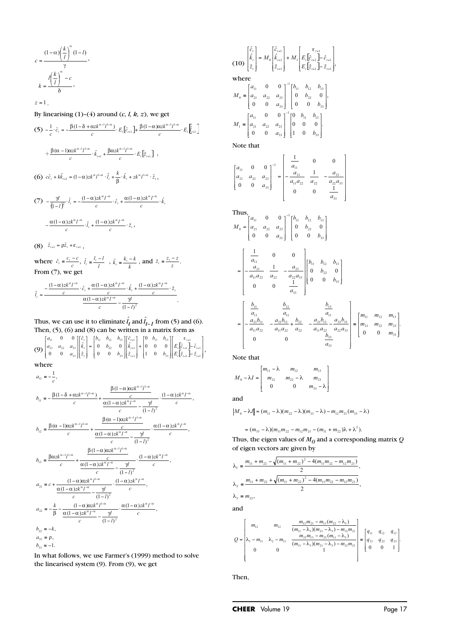$$
c = \frac{(1-\alpha)\left(\frac{k}{l}\right)^{\alpha}(1-l)}{\gamma},
$$

$$
k = \frac{l\left(\frac{k}{l}\right)^{\alpha} - c}{\delta},
$$

 $z = 1$ . By linearising  $(1)-(4)$  around  $(c, l, k, z)$ , we get (5) , (6)  $c\hat{c}_i + k\hat{k}_{i+1} = (1-\alpha)zk^{\alpha}l^{1-\alpha}\cdot\hat{l}_i + \frac{k}{\beta}\cdot\hat{k}_i + zk^{\alpha}l^{1-\alpha}\cdot\hat{z}_i,$ (7)  $-\frac{\alpha(1-\alpha)zk^{\alpha}l^{-\alpha}}{c}\cdot\hat{l}_{i} + \frac{(1-\alpha)zk^{\alpha}l^{-\alpha}}{c}\cdot\hat{z}_{i},$ (8)  $\hat{z}_{t+1} = \rho \hat{z}_t + \varepsilon_{t+1}$ ,  $\frac{\beta(\alpha - 1)\alpha z k^{\alpha} \cdot l^{\alpha}}{c} \cdot \hat{k}_{t+1} + \frac{\beta \alpha z k^{\alpha}}{c}$ <br>  $\hat{k}_t + k\hat{k}_{t+1} = (1 - \alpha)zk^{\alpha}l^{1-\alpha} \cdot \hat{l}_t + \frac{k}{\beta} \cdot \frac{\gamma l}{\alpha}$ <br>  $\frac{\gamma l}{(1 - l)^2} \cdot \hat{l}_t = -\frac{(1 - \alpha)zk^{\alpha}l^{-\alpha}}{c} \cdot \hat{c}_t + \frac{\alpha(1 - \alpha)zk^{\alpha}l^{-\alpha}}{c}$ earising (1)-(4) around (c, *l*, *k*, *z*), we g<br>  $\frac{1}{c} \cdot \hat{c}_i = -\frac{\beta(1-\delta + \alpha z k^{\alpha-1}l^{1-\alpha})}{c} \cdot E_i[\hat{c}_{i+1}] + \frac{\beta(1-\alpha)\alpha z i}{c}$ <br>  $\frac{\beta(\alpha-1)\alpha z k^{\alpha-1}l^{1-\alpha}}{c} \cdot \hat{k}_{i+1} + \frac{\beta\alpha z k^{\alpha-1}l^{1-\alpha}}{c} \cdot E_i[\hat{z}_{i+1}]$ ,<br>  $\frac{\beta(\alpha+1)\alpha z k^$  $-\frac{\gamma l}{(1-l)^2} \cdot \hat{l}_i = -\frac{(1-\alpha)zk^{\alpha}l^{-\alpha}}{c} \cdot \hat{c}_i + \frac{\alpha(1-\alpha)zk^{\alpha}l^{-\alpha}}{c} \cdot \hat{k}_i$ arising (1)-(4) around (c, *l*, *k*, *z*), we<br>  $\hat{c}_i = -\frac{\beta(1-\delta + \alpha z k^{\alpha-1}l^{1-\alpha})}{c} \cdot E_i \left[\hat{c}_{i+1}\right] + \frac{\beta(1-\alpha)}{c}$ <br>  $\frac{(\alpha-1)\alpha z k^{\alpha-1}l^{1-\alpha}}{c} \cdot \hat{k}_{i+1} + \frac{\beta\alpha z k^{\alpha-1}l^{1-\alpha}}{c} \cdot E_i \left[\hat{z}_{i+1}\right]$ <br>  $- k\hat{k}_{i+1} = (1-\alpha)zk^{\alpha}l$  $\frac{k}{l} \int_{0}^{\alpha} -c$ <br>
arising (1)-(4) around (c, l, k, z), w<br>  $\hat{c}_i = -\frac{\beta(1-\delta + \alpha zk^{\alpha-1}l^{1-\alpha})}{c} \cdot E_i[\hat{c}_{i+1}] + \frac{\beta(1-c)}{c}$ <br>
( $\frac{(\alpha - 1)\alpha zk^{\alpha-1}l^{1-\alpha}}{c} \cdot \hat{k}_{i+1} + \frac{\beta\alpha zk^{\alpha-1}l^{1-\alpha}}{c} \cdot E_i[\hat{z}_{i+1}]$  $-111-$ +  $+\frac{\beta(\alpha-1)\alpha z k^{\alpha-1}l^{1-\alpha}}{c}\cdot \hat{k}_{t+1} + \frac{\beta\alpha z k^{\alpha-1}l^{1-\alpha}}{c}\cdot E_t[\hat{z}]$  $(1-\alpha)\left(\frac{k}{l}\right)^{\alpha}(1-l)$ <br>  $\gamma$ <br>  $\frac{l\left(\frac{k}{l}\right)^{\alpha}-c}{\delta}$ ,<br>
.<br>
.<br>
inearising (1)-(4) around (c, *l, k, z*), we get<br>  $-\frac{1}{c}\cdot\hat{c}_{i}=-\frac{\beta(1-\delta+\alpha zk^{\alpha-1}l^{1-\alpha})}{c}\cdot E_{i}[\hat{c}_{i+1}]+\frac{\beta(1-\alpha)\alpha zk^{\alpha-1}l^{1-\alpha}}{c}\cdot E_{i}[\hat{f}_{i+1}]$ <br>  $+\frac{\beta(\alpha$  $\frac{1}{c} \cdot \hat{c}_t = -\frac{\beta(1-\delta + \alpha z k^{\alpha-1}l^{1-\alpha})}{c} \cdot E_t[\hat{c}_{t+1}] + \frac{\beta(1-\alpha)\alpha z k^{\alpha-1}l^{1-\alpha}}{c}$ 

where  $\hat{c}_i = \frac{c_i - c}{i}$ ,  $\hat{l}_i = \frac{l_i - l}{i}$ ,  $\hat{k}_i = \frac{k_i - k}{i}$ , and  $\hat{z}_i = \frac{2i - 2}{i}$ . where  $\hat{c}_i = \frac{c_i - c}{c}$ ,  $\hat{l}_i = \frac{l_i - l}{l}$ ,  $\hat{k}_i = \frac{k_i - k}{k}$ , and  $\hat{z}_i = \frac{z_i - z}{z}$ <br>From (7), we get

$$
\hat{l}_{r} = \frac{-\frac{(1-\alpha)zk^{\alpha}I^{-\alpha}}{c} \cdot \hat{c}_{r} + \frac{\alpha(1-\alpha)zk^{\alpha}I^{-\alpha}}{c} \cdot \hat{k}_{r} + \frac{(1-\alpha)zk^{\alpha}I^{-\alpha}}{c} \cdot \hat{z}_{r}}{\frac{\alpha(1-\alpha)zk^{\alpha}I^{-\alpha}}{c} - \frac{\gamma I}{(1-I)^{2}}}.
$$

Thus, we can use it to eliminate  $\hat{l}_t$  and  $\hat{l}_{t-1}$  from (5) and (6). Then, (5), (6) and (8) can be written in a matrix form as

(9)  $\begin{bmatrix} a_{21} & a_{22} & a_{23} \ a_{21} & a_{22} & a_{23} \end{bmatrix} \begin{bmatrix} k_1 \\ k_2 \end{bmatrix} = \begin{bmatrix} 0 & b_{22} & 0 \ 0 & 0 & k_{11} \end{bmatrix} \begin{bmatrix} k_{11} \\ k_2 \end{bmatrix} + \begin{bmatrix} 0 & 0 & 0 \ 1 & 0 & k_{11} \end{bmatrix} \begin{bmatrix} E_1 \hat{E}_{11} \\ E_2 \hat{E}_{12} \end{bmatrix}$ where :<br>  $\text{and}$ <br>  $\begin{bmatrix} \varepsilon_{i+1} \\ \varepsilon_{i+1} \end{bmatrix}$ :<br>
in as<br>  $\lim_{\epsilon \to 1} \sum_{i=1}^{\epsilon_{i+1}} \frac{1}{i}$ <br>  $\lim_{\epsilon \to 1} \frac{1}{i}$ 33 13 33 22 13 33 23 11 0 0 0 0  $\boldsymbol{0}$ 0 0  $0 \t b_{22} \t 0$ 0 0 0 0  $E_{i}|\hat{z}_{i+1}| - \hat{z}$  $E_{i}|\hat{c}_{i+1}|-\hat{c}$ *b*  $b_{11}$  *b z k c b b*  $b_{11}$   $b_{12}$  *b z k c a*  $a_{21}$   $a_{22}$   $a_{33}$  $a_{11}$  0 0 ]  $[\hat{c}_t]$   $[b_{11}$   $b_{12}$   $b_{13}$  ]  $[\hat{c}_{t+1}]$   $[0$   $b_{11}$   $b_{13}]$   $[\hat{c}_{t+2}]$ 

$$
a_{11} = -\frac{1}{c},
$$
\n
$$
b_{11} = -\frac{\beta(1-\delta + \alpha z k^{\alpha-1}l^{1-\alpha})}{c} + \frac{\frac{\beta(1-\alpha)\alpha z k^{\alpha-1}l^{1-\alpha}}{\alpha(1-\alpha)z k^{\alpha}l^{-\alpha}}}{c} \cdot \frac{(1-\alpha)z k^{\alpha}l^{-\alpha}}{(1-l)^{2}}
$$
\n
$$
b_{12} = \frac{\beta(\alpha-1)\alpha z k^{\alpha-1}l^{1-\alpha}}{c} + \frac{\frac{\beta(\alpha-1)\alpha z k^{\alpha-1}l^{1-\alpha}}{\alpha(1-\alpha)z k^{\alpha}l^{-\alpha}}}{c} \cdot \frac{\frac{\alpha(1-\alpha)z k^{\alpha}l^{-\alpha}}{(1-l)^{2}}}{(1-l)^{2}},
$$
\n
$$
b_{13} = \frac{\beta\alpha z k^{\alpha-1}l^{1-\alpha}}{c} + \frac{\frac{\beta(1-\alpha)\alpha z k^{\alpha}l^{-\alpha}}{\alpha(1-\alpha)z k^{\alpha}l^{-\alpha}}}{c} \cdot \frac{\frac{\gamma l}{\alpha(1-l)^{2}}}{(1-l)^{2}},
$$
\n
$$
a_{21} = c + \frac{(1-\alpha)\alpha z k^{\alpha}l^{-\alpha}}{\alpha(1-\alpha)z k^{\alpha}l^{-\alpha}} - \frac{\gamma l}{(1-l)^{2}},
$$
\n
$$
a_{22} = -\frac{k}{\beta} - \frac{(1-\alpha)z k^{\alpha}l^{-\alpha}}{\alpha(1-\alpha)z k^{\alpha}l^{-\alpha}} - \frac{\gamma l}{(1-l)^{2}},
$$
\n
$$
b_{22} = -k,
$$
\n
$$
a_{33} = \rho,
$$
\n
$$
b_{33} = -1.
$$

In what follows, we use Farmer's (1999) method to solve the linearised system (9). From (9), we get

$$
(10) \begin{bmatrix} \hat{c}_i \\ \hat{k}_i \\ \hat{z}_i \end{bmatrix} = M_0 \begin{bmatrix} \hat{c}_{i+1} \\ \hat{k}_{i+1} \\ \hat{z}_{i+1} \end{bmatrix} + M_1 \begin{bmatrix} \varepsilon_{i+1} \\ E_i \begin{bmatrix} \hat{c}_{i+1} \\ \hat{c}_{i+1} \end{bmatrix} - \hat{c}_{i+1} \end{bmatrix},
$$
  
where  

$$
M_0 = \begin{bmatrix} a_{11} & 0 & 0 \\ a_{21} & a_{22} & a_{23} \\ 0 & 0 & a_{33} \end{bmatrix}^{-1} \begin{bmatrix} b_{11} & b_{12} & b_{13} \\ 0 & b_{22} & 0 \\ 0 & 0 & b_{33} \end{bmatrix},
$$

$$
M_1 = \begin{bmatrix} a_{11} & 0 & 0 \\ a_{21} & a_{22} & a_{23} \\ 0 & 0 & a_{33} \end{bmatrix}^{-1} \begin{bmatrix} 0 & b_{11} & b_{13} \\ 0 & 0 & 0 \\ 1 & 0 & b_{33} \end{bmatrix}.
$$

Note that

$$
\begin{bmatrix} a_{11} & 0 & 0 \ a_{21} & a_{22} & a_{23} \ 0 & 0 & a_{33} \end{bmatrix}^{-1} = \begin{bmatrix} \frac{1}{a_{11}} & 0 & 0 \ -\frac{a_{21}}{a_{11}a_{22}} & \frac{1}{a_{22}} & -\frac{a_{23}}{a_{22}a_{33}} \\ 0 & 0 & \frac{1}{a_{33}} \end{bmatrix}
$$

Thus,  
\n
$$
M_0 = \begin{bmatrix} a_{11} & 0 & 0 \\ a_{21} & a_{22} & a_{23} \\ 0 & 0 & a_{33} \end{bmatrix}^{-1} \begin{bmatrix} b_{11} & b_{12} & b_{13} \\ 0 & b_{22} & 0 \\ 0 & 0 & b_{33} \end{bmatrix}
$$
\n
$$
= \begin{bmatrix} \frac{1}{a_{11}} & 0 & 0 \\ -\frac{a_{21}}{a_{11}a_{22}} & \frac{1}{a_{22}} & -\frac{a_{23}}{a_{22}a_{33}} \\ 0 & 0 & \frac{1}{a_{33}} \end{bmatrix} \begin{bmatrix} b_{11} & b_{12} & b_{13} \\ 0 & b_{22} & 0 \\ 0 & 0 & b_{33} \end{bmatrix}
$$
\n
$$
= \begin{bmatrix} \frac{b_{11}}{a_{11}} & \frac{b_{12}}{a_{11}} & \frac{b_{13}}{a_{11}} \\ -\frac{a_{21}b_{11}}{a_{11}a_{22}} & -\frac{a_{21}b_{12}}{a_{11}a_{22}} + \frac{b_{22}}{a_{22}} & -\frac{a_{21}b_{13}}{a_{11}a_{22}} - \frac{a_{23}b_{33}}{a_{22}a_{33}} \end{bmatrix} = \begin{bmatrix} m_{11} & m_{12} & m_{13} \\ m_{21} & m_{22} & m_{23} \\ 0 & 0 & m_{33} \end{bmatrix}.
$$
\nNote that  
\n
$$
M_0 - \lambda I = \begin{bmatrix} m_{11} - \lambda & m_{12} & m_{13} \\ m_{21} & m_{22} - \lambda & m_{23} \\ 0 & 0 & m_{33} - \lambda \end{bmatrix}
$$
\nand  
\n
$$
|M_0 - \lambda I| = (m_{11} - \lambda)(m_{22} - \lambda)(m_{33} - \lambda) - m_{12}m_{21}(m_{33} - \lambda)
$$
\n
$$
= (m_{33} - \lambda)(m_{11}m_{22} - m_{12}m_{21} - (m_{11} + m_{22})\lambda + \lambda^2).
$$
\nThus, the eigen values of  $M$ 

Note that

$$
M_0 - \lambda I = \begin{bmatrix} m_{11} - \lambda & m_{12} & m_{13} \\ m_{21} & m_{22} - \lambda & m_{23} \\ 0 & 0 & m_{33} - \lambda \end{bmatrix}
$$

and

Thus, the eigen values of  $M<sub>0</sub>$  and a corresponding matrix  $Q$ of eigen vectors are given by

$$
\lambda_1 = \frac{m_{11} + m_{22} - \sqrt{(m_{11} + m_{22})^2 - 4(m_{11}m_{22} - m_{12}m_{21})}}{2},
$$
  

$$
\lambda_2 = \frac{m_{11} + m_{22} + \sqrt{(m_{11} + m_{22})^2 - 4(m_{11}m_{22} - m_{12}m_{21})}}{2},
$$

and  $\lambda_3 = m_{33}$ 

$$
Q = \begin{bmatrix} m_{12} & m_{12} & \frac{m_{12}m_{23} - m_{13}(m_{22} - \lambda_3)}{(m_{11} - \lambda_3)(m_{21} - \lambda_3) - m_{12}m_{21}} \\ \lambda_1 - m_{11} & \lambda_2 - m_{11} & \frac{m_{21}m_{13} - m_{23}(m_{11} - \lambda_3)}{(m_{11} - \lambda_3)(m_{21} - \lambda_3) - m_{12}m_{21}} \\ 0 & 0 & 1 \end{bmatrix} = \begin{bmatrix} q_{11} & q_{12} & q_{13} \\ q_{21} & q_{22} & q_{23} \\ 0 & 0 & 1 \end{bmatrix}.
$$

Then,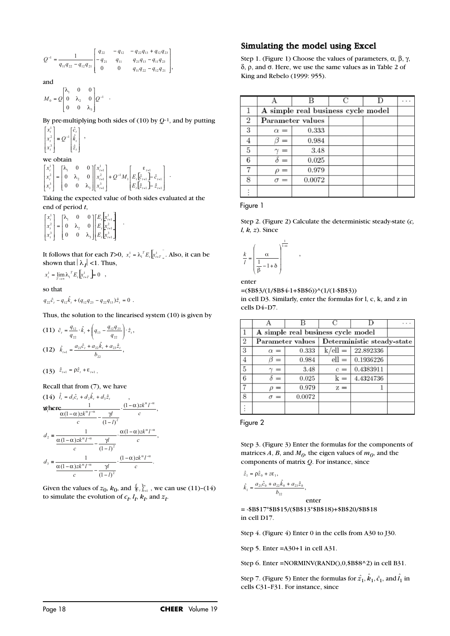$$
Q^{-1} = \frac{1}{q_{11}q_{22} - q_{12}q_{21}} \begin{bmatrix} q_{22} & -q_{12} & -q_{22}q_{13} + q_{12}q_{23} \\ -q_{21} & q_{11} & q_{21}q_{13} - q_{11}q_{23} \\ 0 & 0 & q_{11}q_{22} - q_{12}q_{21} \end{bmatrix}
$$

and

<sup>1</sup>. 3 2 1  $\begin{bmatrix} 0 & -2 \\ 0 & 0 \end{bmatrix}$  $0\quad \lambda, \quad 0$  $\begin{bmatrix} 0 & 0 \\ 0 & 0 \end{bmatrix}$ ⎦ ⎤ ⎣ ⎡  $M_{0} = Q \begin{bmatrix} 0 & \lambda_{2} & 0 \end{bmatrix} Q$ λ λ λ

By pre-multiplying both sides of  $(10)$  by  $Q^{-1}$ , and by putting 1

,

$$
\begin{bmatrix} x_i^1 \\ x_i^2 \\ x_i^3 \end{bmatrix} \equiv Q^{-1} \begin{bmatrix} \hat{c}_i \\ \hat{k}_i \\ \hat{z}_i \end{bmatrix} ,
$$

#### we obtain

$$
M_0 = Q \begin{bmatrix} \lambda_1 & 0 & 0 \\ 0 & \lambda_2 & 0 \\ 0 & 0 & \lambda_3 \end{bmatrix} Q^{-1}
$$
  
\nBy pre-multiplying both sides of (10) by Q-1,  
\n
$$
\begin{bmatrix} x_i^1 \\ x_i^2 \\ x_i^3 \end{bmatrix} = Q^{-1} \begin{bmatrix} \hat{c}_i \\ \hat{k}_i \\ \hat{z}_i \end{bmatrix},
$$
  
\nwe obtain  
\n
$$
\begin{bmatrix} x_i^1 \\ x_i^2 \\ x_i^2 \end{bmatrix} = \begin{bmatrix} \lambda_1 & 0 & 0 \\ 0 & \lambda_2 & 0 \\ 0 & 0 & \lambda_3 \end{bmatrix} \begin{bmatrix} x_{i+1}^1 \\ x_{i+1}^2 \\ x_{i+1}^3 \end{bmatrix} + Q^{-1} M_1 \begin{bmatrix} \varepsilon_{i+1} \\ E_i \begin{bmatrix} \hat{\varepsilon}_{i+1} \\ \hat{\varepsilon}_{i+1} \end{bmatrix} - \hat{\varepsilon}_{i+1} \\ E_i \begin{bmatrix} \hat{\varepsilon}_{i+1} \\ \hat{\varepsilon}_{i+1} \end{bmatrix} - \hat{\varepsilon}_{i+1} \end{bmatrix}.
$$
  
\nTaking the expected value of both sides eval  
\nend of period *t*,  
\n
$$
\begin{bmatrix} x_i^1 \\ x_i^1 \end{bmatrix} = \begin{bmatrix} \lambda_1 & 0 & 0 \end{bmatrix} \begin{bmatrix} E_i \begin{bmatrix} x_{i+1} \\ x_{i+1} \end{bmatrix} + \lambda_1 \begin{bmatrix} x_{i+1} \\ x_{i+1} \end{bmatrix} - \lambda_2 \begin{bmatrix} x_{i+1} \\ x_{i+1} \end{bmatrix} - \lambda_3 \begin{bmatrix} x_{i+1} \\ x_{i+1} \end{bmatrix} - \lambda_4 \begin{bmatrix} x_{i+1} \\ x_{i+1} \end{bmatrix}.
$$

Taking the expected value of both sides evaluated at the end of period *t*,

.

 $\begin{bmatrix} 1 \\ 1 \\ 1 \end{bmatrix} + Q$ <br>value<br> $\begin{bmatrix} x_{t+1}^1 \\ x_{t+1}^2 \\ x_{t+1}^3 \end{bmatrix}$  $\begin{bmatrix} 1 \\ 1 \end{bmatrix}$  +  $Q$ <br>value<br>value<br> $\begin{bmatrix} x_{t+1}^1 \\ x_{t+1}^2 \\ x_{t+1}^3 \end{bmatrix}$ |<br>
value<br>  $\begin{bmatrix} x_{t+1}^1 \\ x_{t+1}^2 \\ x_{t+1}^3 \\ x_{t+1}^3 \end{bmatrix}$ <br>
ch *T*> ⎤ ⎣ ⎡ ⎦ ⎤ ⎣ ⎡ = ⎦ ⎤ ⎣ ⎡ + + + 3<br>1+1 2<br>(+1 1 1 3 2 1 3 2 1 0 0  $0\quad \lambda, \quad 0$ 0 0 *t t t t t t t t t*  $E, x$  $E, x$  $E_{t}$   $x$ *x x x* λ λ λ

 $\begin{bmatrix} x_i \\ x_i^2 \end{bmatrix} = \begin{bmatrix} 0 & k_2 & 0 \\ 0 & 0 & \lambda_3 \end{bmatrix} \begin{bmatrix} E_t \begin{bmatrix} x_{i+1} \\ E_t \end{bmatrix} \\ E_t \begin{bmatrix} x_{i+1}^2 \end{bmatrix}$ <br>
It follows that for each *T*>0,  $x_i^1 = \lambda_i^T E_t \begin{bmatrix} x_{i+1}^1 \end{bmatrix}$ . Also, it can be shown that  $|\lambda_I|$  <1. Thus,  $\begin{bmatrix} 0 & 0 & \lambda_3 \end{bmatrix}$  [ E<br>lows that for easy of that  $|\lambda_f|$  < 1.<br> $\lim_{T \to \infty} \lambda_1^T E_t \left[\sum_{i,T} \right] = 0$  $x_t^1 = \lambda_1^T E_t \left[ x_{t+1}^1 \right]$ 

$$
x_t^1 = \lim_{T \to \infty} \lambda_1^T E_t \left[ x_{t+T}^1 \right] = 0 \quad ,
$$

so that

$$
q_{22}\hat{c}_\iota - q_{12}\hat{k}_\iota + (q_{12}q_{23} - q_{22}q_{13})\hat{z}_\iota = 0
$$

Thus, the solution to the linearised system (10) is given by

.

(11) 
$$
\hat{c}_i = \frac{q_{12}}{q_{22}} \cdot \hat{k}_i + \left(q_{13} - \frac{q_{12}q_{23}}{q_{22}}\right) \cdot \hat{z}_i,
$$
  
(12) 
$$
\hat{k}_{i+1} = \frac{a_{21}\hat{c}_i + a_{22}\hat{k}_i + a_{23}\hat{z}_i}{b_{22}},
$$

 $(13)$   $\hat{z}_{t+1} = \rho \hat{z}_t + \varepsilon_{t+1}$ .

Recall that from (7), we have

$$
(14) \quad \hat{l}_i = d_1 \hat{c}_i + d_2 \hat{k}_i + d_3 \hat{z}_i ,
$$
\n
$$
\mathbf{W}_i^{\text{h}} \mathbf{E} \mathbf{E} \mathbf{E} \frac{1}{\alpha (1 - \alpha) z k^{\alpha} I^{-\alpha}} - \frac{\gamma I}{(1 - I)^2} \cdot \frac{(1 - \alpha) z k^{\alpha} I^{-\alpha}}{c} ,
$$
\n
$$
d_2 = \frac{1}{\frac{\alpha (1 - \alpha) z k^{\alpha} I^{-\alpha}}{c} - \frac{\gamma I}{(1 - I)^2}} \cdot \frac{\alpha (1 - \alpha) z k^{\alpha} I^{-\alpha}}{c} ,
$$
\n
$$
d_3 = \frac{1}{\frac{\alpha (1 - \alpha) z k^{\alpha} I^{-\alpha}}{c} - \frac{\gamma I}{(1 - I)^2}} \cdot \frac{(1 - \alpha) z k^{\alpha} I^{-\alpha}}{c} .
$$

Given the values of  $z_0$ ,  $k_0$ , and  $\{e_i\}_{i=1}^{\infty}$ , we can use (11)–(14) to simulate the evolution of  $c_t$ ,  $l_t$ ,  $k_t$ , and  $z_t$ .

## Simulating the model using Excel

Step 1. (Figure 1) Choose the values of parameters,  $\alpha$ ,  $\beta$ ,  $\gamma$ , δ, ρ, and σ. Here, we use the same values as in Table 2 of King and Rebelo (1999: 955).

|                |                                    |        |  |  | $\cdots$ |  |  |  |
|----------------|------------------------------------|--------|--|--|----------|--|--|--|
|                | A simple real business cycle model |        |  |  |          |  |  |  |
| $\overline{2}$ | Parameter values                   |        |  |  |          |  |  |  |
| 3              | $\alpha =$                         | 0.333  |  |  |          |  |  |  |
| 4              | $=$                                | 0.984  |  |  |          |  |  |  |
| 5              | $=$                                | 3.48   |  |  |          |  |  |  |
| 6              |                                    | 0.025  |  |  |          |  |  |  |
|                |                                    | 0.979  |  |  |          |  |  |  |
| 8              | $=$                                | 0.0072 |  |  |          |  |  |  |
|                |                                    |        |  |  |          |  |  |  |

Figure 1

Step 2. (Figure 2) Calculate the deterministic steady-state (*c, l, k, z*). Since

$$
\frac{k}{l} = \left(\frac{\alpha}{\frac{1}{\beta} - 1 + \delta}\right)^{\frac{1}{1-\alpha}}
$$

,

enter

 $=(\$B\$3/(1/\$B\$4-1+\$B\$6))^(1/(1-\$B\$3))$ in cell D3. Similarly, enter the formulas for l, c, k, and z in cells D4–D7.

|                |                                    |                                               |           |           | $\cdots$ |
|----------------|------------------------------------|-----------------------------------------------|-----------|-----------|----------|
|                | A simple real business cycle model |                                               |           |           |          |
| $\overline{2}$ |                                    | Parameter values   Deterministic steady-state |           |           |          |
| 3              | $\alpha =$                         | 0.333                                         | $k/ell =$ | 22.892336 |          |
| $\overline{4}$ | $=$                                | 0.984                                         | $ell =$   | 0.1936226 |          |
| $\overline{5}$ | $=$                                | 3.48                                          | $c =$     | 0.4383911 |          |
| 6              | $\delta =$                         | 0.025                                         | $k =$     | 4.4324736 |          |
|                | $=$                                | 0.979                                         | $z =$     |           |          |
| 8              | $\sigma =$                         | 0.0072                                        |           |           |          |
|                |                                    |                                               |           |           |          |

Figure 2

Step 3. (Figure 3) Enter the formulas for the components of matrices  $A$ ,  $B$ , and  $M<sub>0</sub>$ , the eigen values of  $m<sub>0</sub>$ , and the components of matrix *Q*. For instance, since  $\begin{aligned} \text{p 3. (Fig} \\ \text{trices } A, \\ \text{mponent} \\ = \rho \hat{z}_0 + z \epsilon \\ a_{21} \hat{c}_0 + c_{12} \end{aligned}$ 

$$
\hat{z}_1 = \rho \hat{z}_0 + z \varepsilon_1, \n\hat{k}_1 = \frac{a_{21}\hat{c}_0 + a_{22}\hat{k}_0 + a_{23}\hat{z}_0}{b_{22}},
$$

enter

= -\$B\$17\*\$B\$15/(\$B\$13\*\$B\$18)+\$B\$20/\$B\$18 in cell D17.

Step 4. (Figure 4) Enter 0 in the cells from A30 to J30.

Step 5. Enter =A30+1 in cell A31.

Step 6. Enter = NORMINV(RAND $(0,0,$ \$B\$8^2) in cell B31.

Step 7. (Figure 5) Enter the formulas for  $\hat{z}_1$ ,  $\hat{k}_1$ ,  $\hat{c}_1$ , and  $\hat{l}_1$  in cells C31–F31. For instance, since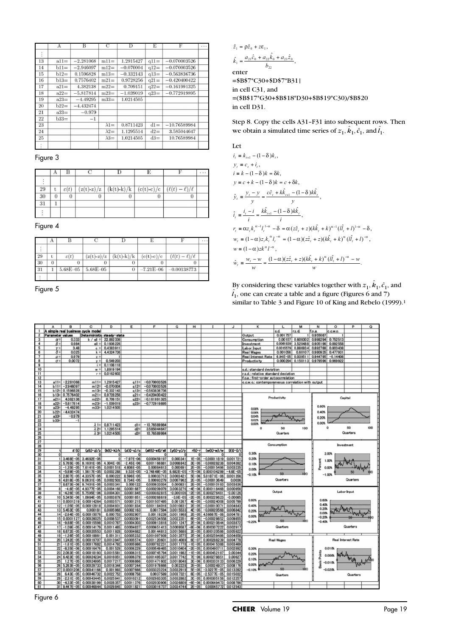|    | А       | В           | С            | D           | Ε      | F              | $\cdots$ |
|----|---------|-------------|--------------|-------------|--------|----------------|----------|
| ÷  |         |             |              |             |        |                |          |
| 13 | $a11=$  | $-2.281068$ | $m11=$       | 1.2915427   | $q11=$ | $-0.070003526$ |          |
| 14 | $b11=$  | $-2.946097$ | $m12=$       | $-0.070004$ | $q12=$ | $-0.070003526$ |          |
| 15 | $b12=$  | 0.1596828   | $m13=$       | $-0.332143$ | $q13=$ | $-0.563836736$ |          |
| 16 | $b13=$  | 0.7576402   | $m21=$       | 0.9728256   | $q21=$ | $-0.420400422$ |          |
| 17 | $a21=$  | 4.382138    | $m22=$       | 0.709151    | $q22=$ | $-0.161991325$ |          |
| 18 | $a22=$  | $-5.817814$ | $m23=$       | $-1.039019$ | $q23=$ | $-0.772919895$ |          |
| 19 | $a23=$  | $-4.49295$  | $m33=$       | 1.0214505   |        |                |          |
| 20 | $b22=$  | $-4.432474$ |              |             |        |                |          |
| 21 | $a33 =$ | $-0.979$    |              |             |        |                |          |
| 22 | $b33=$  | $^{-1}$     |              |             |        |                |          |
| 23 |         |             | $\lambda1=$  | 0.8711423   | $dl =$ | $-10.76589984$ |          |
| 24 |         |             | $\lambda 2=$ | 1.1295514   | $d2=$  | 3.585044647    |          |
| 25 |         |             | $\lambda 3=$ | 1.0214505   | $d3=$  | 10.76589984    |          |
|    |         |             |              |             |        |                |          |

Figure 3

| - 29 |  | $(z(t)-z)/z$ | $(k(t)-k)/k$ | $(c(t)-c)/c$ | $(\ell(t)-\ell)$ |  |
|------|--|--------------|--------------|--------------|------------------|--|
| 30   |  | U            | o            |              |                  |  |
| -31  |  |              |              |              |                  |  |
|      |  |              |              |              |                  |  |

Figure 4

|    | А        |                  |              |              |               |                       | $\cdots$ |
|----|----------|------------------|--------------|--------------|---------------|-----------------------|----------|
|    |          |                  |              |              |               |                       |          |
| 29 | t        | $\varepsilon(t)$ | $(z(t)-z)/z$ | $(k(t)-k)/k$ | $(c(t)-c)/c$  | $(\ell(t)-\ell)/\ell$ |          |
| 30 | $\Omega$ |                  |              |              |               |                       |          |
| 31 |          | 5.68E-05         | $5.68E - 05$ |              | $-7.21E - 06$ | $-0.00138773$         |          |
|    |          |                  |              |              |               |                       |          |

Figure 5



enter =\$B\$7\*C30+\$D\$7\*B31| in cell C31, and =(\$B\$17\*G30+\$B\$18\*D30+\$B\$19\*C30)/\$B\$20 in cell D31.

Step 8. Copy the cells A31–F31 into subsequent rows. Then we obtain a simulated time series of  $z_1$ ,  $\hat{k}_1$ ,  $\hat{c}_1$ , and  $\hat{l}_1$ .

Let  
\n
$$
i_{t} = k_{t+1} - (1 - \delta)k_{t},
$$
\n
$$
y_{t} = c_{t} + i_{t},
$$
\n
$$
i = k - (1 - \delta)k = \delta k,
$$
\n
$$
y = c + k - (1 - \delta)k = c + \delta k,
$$
\n
$$
\hat{y}_{t} = \frac{y_{t} - y}{y} = \frac{c\hat{c}_{t} + k\hat{k}_{t+1} - (1 - \delta)k\hat{k}_{t}}{y},
$$
\n
$$
\hat{i}_{t} = \frac{i_{t} - i}{i} = \frac{k\hat{k}_{t+1} - (1 - \delta)k\hat{k}_{t}}{i},
$$
\n
$$
r_{t} = \alpha z_{t} k_{t}^{\alpha - 1} t_{t}^{1 - \alpha} - \delta = \alpha (z\hat{z}_{t} + z)(k\hat{k}_{t} + k)^{\alpha - 1} (\hat{i}_{t} + l)^{1 - \alpha} - \delta,
$$
\n
$$
w_{t} = (1 - \alpha) z_{t} k_{t}^{\alpha} t_{t}^{-\alpha} = (1 - \alpha)(z\hat{z}_{t} + z)(k\hat{k}_{t} + k)^{\alpha} (\hat{i}_{t} + l)^{-\alpha},
$$
\n
$$
w = (1 - \alpha) z k^{\alpha} l^{-\alpha},
$$
\n
$$
\hat{w}_{t} = \frac{w_{t} - w}{w} = \frac{(1 - \alpha)(z\hat{z}_{t} + z)(k\hat{k}_{t} + k)^{\alpha} (\hat{i}_{t} + l)^{-\alpha} - w}{w}.
$$

By considering these variables together with  $z_1$ ,  $\hat{k}_1$ ,  $\hat{c}_1$ , and  $\hat{l}_1$ , one can create a table and a figure (Figures 6 and 7) similar to Table 3 and Figure 10 of King and Rebelo (1999).<sup>1</sup>